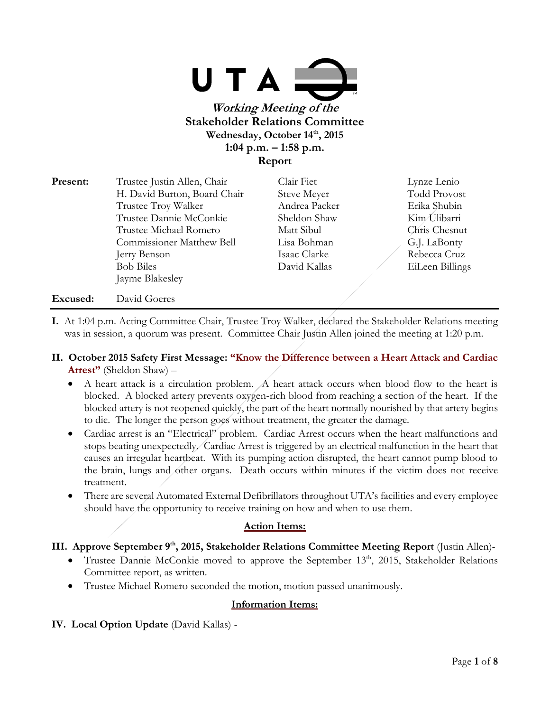

**Stakeholder Relations Committee Wednesday, October 14th, 2015 1:04 p.m. – 1:58 p.m. Report**

| Present: | Trustee Justin Allen, Chair      | Clair Fiet    | Lynze Lenio         |
|----------|----------------------------------|---------------|---------------------|
|          | H. David Burton, Board Chair     | Steve Meyer   | <b>Todd Provost</b> |
|          | Trustee Troy Walker              | Andrea Packer | Erika Shubin        |
|          | Trustee Dannie McConkie          | Sheldon Shaw  | Kim Ulibarri        |
|          | Trustee Michael Romero           | Matt Sibul    | Chris Chesnut       |
|          | <b>Commissioner Matthew Bell</b> | Lisa Bohman   | G.J. LaBonty        |
|          | Jerry Benson                     | Isaac Clarke  | Rebecca Cruz        |
|          | <b>Bob Biles</b>                 | David Kallas  | EiLeen Billings     |
|          | Jayme Blakesley                  |               |                     |
| Excused: | David Goeres                     |               |                     |

- **I.** At 1:04 p.m. Acting Committee Chair, Trustee Troy Walker, declared the Stakeholder Relations meeting was in session, a quorum was present. Committee Chair Justin Allen joined the meeting at 1:20 p.m.
- **II. October 2015 Safety First Message: "Know the Difference between a Heart Attack and Cardiac Arrest"** (Sheldon Shaw) –
	- A heart attack is a circulation problem. A heart attack occurs when blood flow to the heart is blocked. A blocked artery prevents oxygen-rich blood from reaching a section of the heart. If the blocked artery is not reopened quickly, the part of the heart normally nourished by that artery begins to die. The longer the person goes without treatment, the greater the damage.
	- Cardiac arrest is an "Electrical" problem. Cardiac Arrest occurs when the heart malfunctions and stops beating unexpectedly. Cardiac Arrest is triggered by an electrical malfunction in the heart that causes an irregular heartbeat. With its pumping action disrupted, the heart cannot pump blood to the brain, lungs and other organs. Death occurs within minutes if the victim does not receive treatment.
	- There are several Automated External Defibrillators throughout UTA's facilities and every employee should have the opportunity to receive training on how and when to use them.

# **Action Items:**

# **III. Approve September 9th, 2015, Stakeholder Relations Committee Meeting Report** (Justin Allen)-

- Trustee Dannie McConkie moved to approve the September  $13<sup>th</sup>$ , 2015, Stakeholder Relations Committee report, as written.
- Trustee Michael Romero seconded the motion, motion passed unanimously.

### **Information Items:**

**IV. Local Option Update** (David Kallas) -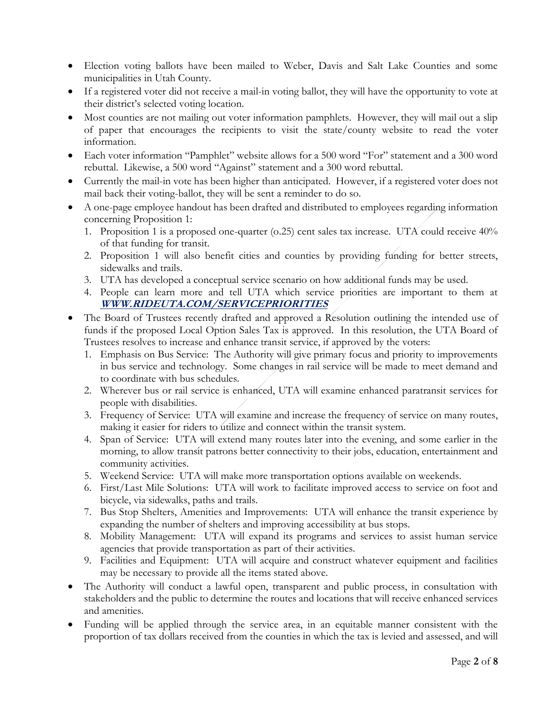- Election voting ballots have been mailed to Weber, Davis and Salt Lake Counties and some municipalities in Utah County.
- If a registered voter did not receive a mail-in voting ballot, they will have the opportunity to vote at their district's selected voting location.
- Most counties are not mailing out voter information pamphlets. However, they will mail out a slip of paper that encourages the recipients to visit the state/county website to read the voter information.
- Each voter information "Pamphlet" website allows for a 500 word "For" statement and a 300 word rebuttal. Likewise, a 500 word "Against" statement and a 300 word rebuttal.
- Currently the mail-in vote has been higher than anticipated. However, if a registered voter does not mail back their voting-ballot, they will be sent a reminder to do so.
- A one-page employee handout has been drafted and distributed to employees regarding information concerning Proposition 1:
	- 1. Proposition 1 is a proposed one-quarter (o.25) cent sales tax increase. UTA could receive 40% of that funding for transit.
	- 2. Proposition 1 will also benefit cities and counties by providing funding for better streets, sidewalks and trails.
	- 3. UTA has developed a conceptual service scenario on how additional funds may be used.
	- 4. People can learn more and tell UTA which service priorities are important to them at **WWW.RIDEUTA.COM/SERVICEPRIORITIES**
- The Board of Trustees recently drafted and approved a Resolution outlining the intended use of funds if the proposed Local Option Sales Tax is approved. In this resolution, the UTA Board of Trustees resolves to increase and enhance transit service, if approved by the voters:
	- 1. Emphasis on Bus Service: The Authority will give primary focus and priority to improvements in bus service and technology. Some changes in rail service will be made to meet demand and to coordinate with bus schedules.
	- 2. Wherever bus or rail service is enhanced, UTA will examine enhanced paratransit services for people with disabilities.
	- 3. Frequency of Service: UTA will examine and increase the frequency of service on many routes, making it easier for riders to utilize and connect within the transit system.
	- 4. Span of Service: UTA will extend many routes later into the evening, and some earlier in the morning, to allow transit patrons better connectivity to their jobs, education, entertainment and community activities.
	- 5. Weekend Service: UTA will make more transportation options available on weekends.
	- 6. First/Last Mile Solutions: UTA will work to facilitate improved access to service on foot and bicycle, via sidewalks, paths and trails.
	- 7. Bus Stop Shelters, Amenities and Improvements: UTA will enhance the transit experience by expanding the number of shelters and improving accessibility at bus stops.
	- 8. Mobility Management: UTA will expand its programs and services to assist human service agencies that provide transportation as part of their activities.
	- 9. Facilities and Equipment: UTA will acquire and construct whatever equipment and facilities may be necessary to provide all the items stated above.
- The Authority will conduct a lawful open, transparent and public process, in consultation with stakeholders and the public to determine the routes and locations that will receive enhanced services and amenities.
- Funding will be applied through the service area, in an equitable manner consistent with the proportion of tax dollars received from the counties in which the tax is levied and assessed, and will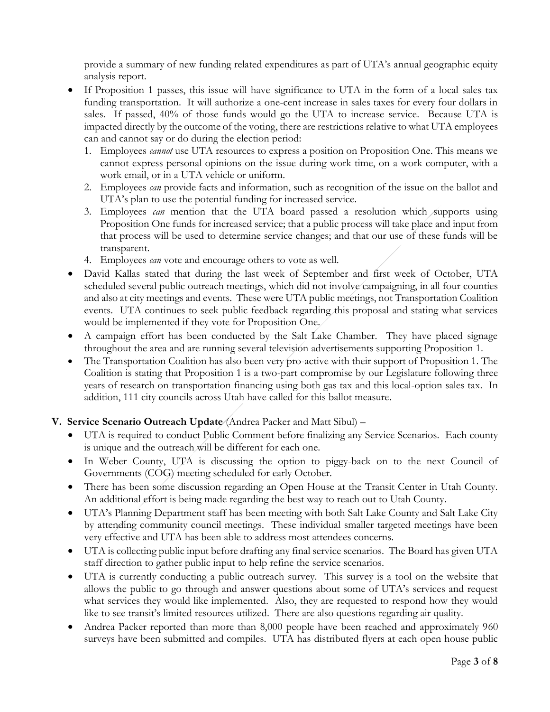provide a summary of new funding related expenditures as part of UTA's annual geographic equity analysis report.

- If Proposition 1 passes, this issue will have significance to UTA in the form of a local sales tax funding transportation. It will authorize a one-cent increase in sales taxes for every four dollars in sales. If passed, 40% of those funds would go the UTA to increase service. Because UTA is impacted directly by the outcome of the voting, there are restrictions relative to what UTA employees can and cannot say or do during the election period:
	- 1. Employees *cannot* use UTA resources to express a position on Proposition One. This means we cannot express personal opinions on the issue during work time, on a work computer, with a work email, or in a UTA vehicle or uniform.
	- 2. Employees *can* provide facts and information, such as recognition of the issue on the ballot and UTA's plan to use the potential funding for increased service.
	- 3. Employees *can* mention that the UTA board passed a resolution which supports using Proposition One funds for increased service; that a public process will take place and input from that process will be used to determine service changes; and that our use of these funds will be transparent.
	- 4. Employees *can* vote and encourage others to vote as well.
- David Kallas stated that during the last week of September and first week of October, UTA scheduled several public outreach meetings, which did not involve campaigning, in all four counties and also at city meetings and events. These were UTA public meetings, not Transportation Coalition events. UTA continues to seek public feedback regarding this proposal and stating what services would be implemented if they vote for Proposition One.
- A campaign effort has been conducted by the Salt Lake Chamber. They have placed signage throughout the area and are running several television advertisements supporting Proposition 1.
- The Transportation Coalition has also been very pro-active with their support of Proposition 1. The Coalition is stating that Proposition 1 is a two-part compromise by our Legislature following three years of research on transportation financing using both gas tax and this local-option sales tax. In addition, 111 city councils across Utah have called for this ballot measure.

# **V. Service Scenario Outreach Update** (Andrea Packer and Matt Sibul) –

- UTA is required to conduct Public Comment before finalizing any Service Scenarios. Each county is unique and the outreach will be different for each one.
- In Weber County, UTA is discussing the option to piggy-back on to the next Council of Governments (COG) meeting scheduled for early October.
- There has been some discussion regarding an Open House at the Transit Center in Utah County. An additional effort is being made regarding the best way to reach out to Utah County.
- UTA's Planning Department staff has been meeting with both Salt Lake County and Salt Lake City by attending community council meetings. These individual smaller targeted meetings have been very effective and UTA has been able to address most attendees concerns.
- UTA is collecting public input before drafting any final service scenarios. The Board has given UTA staff direction to gather public input to help refine the service scenarios.
- UTA is currently conducting a public outreach survey. This survey is a tool on the website that allows the public to go through and answer questions about some of UTA's services and request what services they would like implemented. Also, they are requested to respond how they would like to see transit's limited resources utilized. There are also questions regarding air quality.
- Andrea Packer reported than more than 8,000 people have been reached and approximately 960 surveys have been submitted and compiles. UTA has distributed flyers at each open house public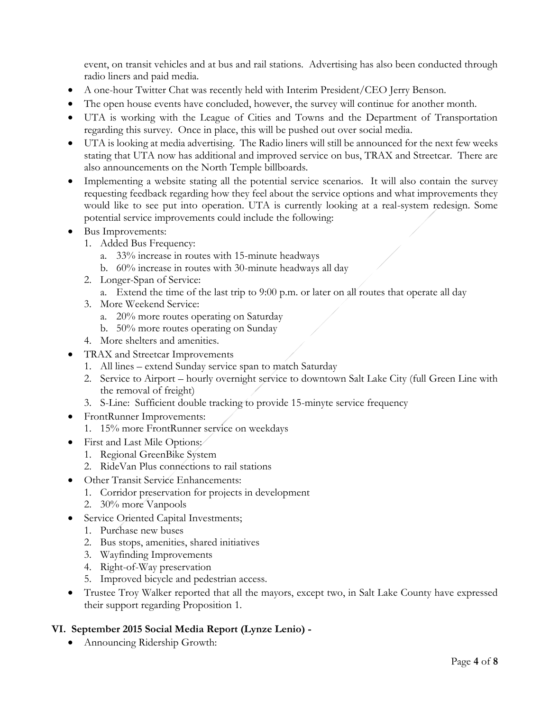event, on transit vehicles and at bus and rail stations. Advertising has also been conducted through radio liners and paid media.

- A one-hour Twitter Chat was recently held with Interim President/CEO Jerry Benson.
- The open house events have concluded, however, the survey will continue for another month.
- UTA is working with the League of Cities and Towns and the Department of Transportation regarding this survey. Once in place, this will be pushed out over social media.
- UTA is looking at media advertising. The Radio liners will still be announced for the next few weeks stating that UTA now has additional and improved service on bus, TRAX and Streetcar. There are also announcements on the North Temple billboards.
- Implementing a website stating all the potential service scenarios. It will also contain the survey requesting feedback regarding how they feel about the service options and what improvements they would like to see put into operation. UTA is currently looking at a real-system redesign. Some potential service improvements could include the following:
- Bus Improvements:
	- 1. Added Bus Frequency:
		- a. 33% increase in routes with 15-minute headways
		- b. 60% increase in routes with 30-minute headways all day
	- 2. Longer-Span of Service:
		- a. Extend the time of the last trip to 9:00 p.m. or later on all routes that operate all day
	- 3. More Weekend Service:
		- a. 20% more routes operating on Saturday
		- b. 50% more routes operating on Sunday
	- 4. More shelters and amenities.
- TRAX and Streetcar Improvements
	- 1. All lines extend Sunday service span to match Saturday
	- 2. Service to Airport hourly overnight service to downtown Salt Lake City (full Green Line with the removal of freight)
	- 3. S-Line: Sufficient double tracking to provide 15-minyte service frequency
- FrontRunner Improvements:
	- 1. 15% more FrontRunner service on weekdays
- First and Last Mile Options:
	- 1. Regional GreenBike System
	- 2. RideVan Plus connections to rail stations
- Other Transit Service Enhancements:
	- 1. Corridor preservation for projects in development
	- 2. 30% more Vanpools
- Service Oriented Capital Investments;
	- 1. Purchase new buses
	- 2. Bus stops, amenities, shared initiatives
	- 3. Wayfinding Improvements
	- 4. Right-of-Way preservation
	- 5. Improved bicycle and pedestrian access.
- Trustee Troy Walker reported that all the mayors, except two, in Salt Lake County have expressed their support regarding Proposition 1.

### **VI. September 2015 Social Media Report (Lynze Lenio) -**

Announcing Ridership Growth: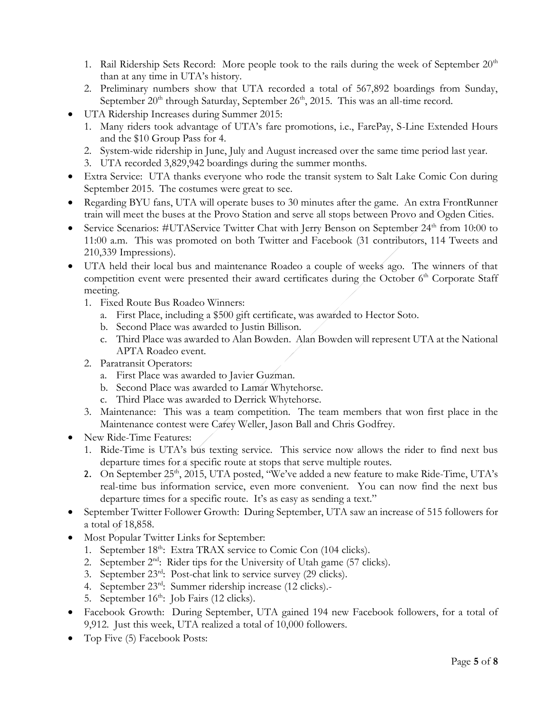- 1. Rail Ridership Sets Record: More people took to the rails during the week of September 20<sup>th</sup> than at any time in UTA's history.
- 2. Preliminary numbers show that UTA recorded a total of 567,892 boardings from Sunday, September 20<sup>th</sup> through Saturday, September 26<sup>th</sup>, 2015. This was an all-time record.
- UTA Ridership Increases during Summer 2015:
	- 1. Many riders took advantage of UTA's fare promotions, i.e., FarePay, S-Line Extended Hours and the \$10 Group Pass for 4.
	- 2. System-wide ridership in June, July and August increased over the same time period last year.
	- 3. UTA recorded 3,829,942 boardings during the summer months.
- Extra Service: UTA thanks everyone who rode the transit system to Salt Lake Comic Con during September 2015. The costumes were great to see.
- Regarding BYU fans, UTA will operate buses to 30 minutes after the game. An extra FrontRunner train will meet the buses at the Provo Station and serve all stops between Provo and Ogden Cities.
- Service Scenarios: #UTAService Twitter Chat with Jerry Benson on September  $24<sup>th</sup>$  from 10:00 to 11:00 a.m. This was promoted on both Twitter and Facebook (31 contributors, 114 Tweets and 210,339 Impressions).
- UTA held their local bus and maintenance Roadeo a couple of weeks ago. The winners of that competition event were presented their award certificates during the October  $6<sup>th</sup>$  Corporate Staff meeting.
	- 1. Fixed Route Bus Roadeo Winners:
		- a. First Place, including a \$500 gift certificate, was awarded to Hector Soto.
		- b. Second Place was awarded to Justin Billison.
		- c. Third Place was awarded to Alan Bowden. Alan Bowden will represent UTA at the National APTA Roadeo event.
	- 2. Paratransit Operators:
		- a. First Place was awarded to Javier Guzman.
		- b. Second Place was awarded to Lamar Whytehorse.
		- c. Third Place was awarded to Derrick Whytehorse.
	- 3. Maintenance: This was a team competition. The team members that won first place in the Maintenance contest were Carey Weller, Jason Ball and Chris Godfrey.
- New Ride-Time Features:
	- 1. Ride-Time is UTA's bus texting service. This service now allows the rider to find next bus departure times for a specific route at stops that serve multiple routes.
	- 2. On September 25<sup>th</sup>, 2015, UTA posted, "We've added a new feature to make Ride-Time, UTA's real-time bus information service, even more convenient. You can now find the next bus departure times for a specific route. It's as easy as sending a text."
- September Twitter Follower Growth: During September, UTA saw an increase of 515 followers for a total of 18,858.
- Most Popular Twitter Links for September:
	- 1. September 18<sup>th</sup>: Extra TRAX service to Comic Con (104 clicks).
	- 2. September  $2^{nd}$ : Rider tips for the University of Utah game (57 clicks).
	- 3. September 23rd: Post-chat link to service survey (29 clicks).
	- 4. September 23rd: Summer ridership increase (12 clicks).-
	- 5. September  $16<sup>th</sup>$ : Job Fairs (12 clicks).
- Facebook Growth: During September, UTA gained 194 new Facebook followers, for a total of 9,912. Just this week, UTA realized a total of 10,000 followers.
- Top Five (5) Facebook Posts: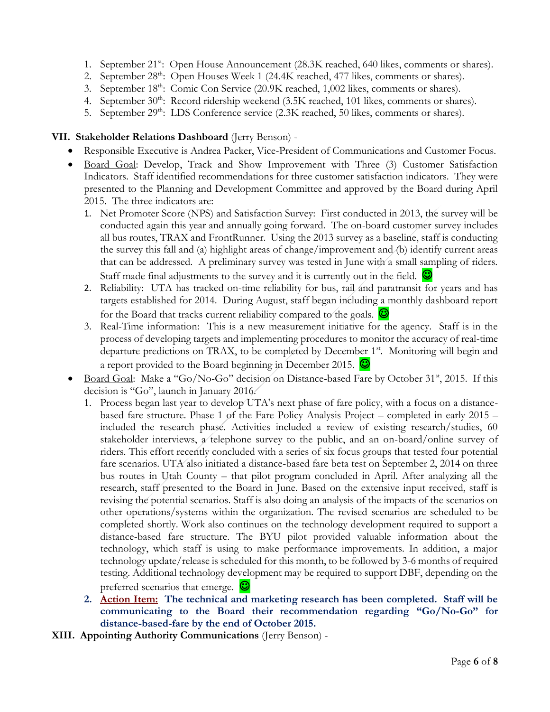- 1. September 21<sup>st</sup>: Open House Announcement (28.3K reached, 640 likes, comments or shares).
- 2. September 28<sup>th</sup>: Open Houses Week 1 (24.4K reached, 477 likes, comments or shares).
- 3. September 18<sup>th</sup>: Comic Con Service (20.9K reached, 1,002 likes, comments or shares).
- 4. September  $30^{\text{th}}$ : Record ridership weekend  $(3.5K$  reached, 101 likes, comments or shares).
- 5. September 29<sup>th</sup>: LDS Conference service (2.3K reached, 50 likes, comments or shares).

### **VII. Stakeholder Relations Dashboard** (Jerry Benson) -

- Responsible Executive is Andrea Packer, Vice-President of Communications and Customer Focus.
- Board Goal: Develop, Track and Show Improvement with Three (3) Customer Satisfaction Indicators. Staff identified recommendations for three customer satisfaction indicators. They were presented to the Planning and Development Committee and approved by the Board during April 2015. The three indicators are:
	- 1. Net Promoter Score (NPS) and Satisfaction Survey: First conducted in 2013, the survey will be conducted again this year and annually going forward. The on-board customer survey includes all bus routes, TRAX and FrontRunner. Using the 2013 survey as a baseline, staff is conducting the survey this fall and (a) highlight areas of change/improvement and (b) identify current areas that can be addressed. A preliminary survey was tested in June with a small sampling of riders. Staff made final adjustments to the survey and it is currently out in the field.  $\bigcirc$
	- 2. Reliability: UTA has tracked on-time reliability for bus, rail and paratransit for years and has targets established for 2014. During August, staff began including a monthly dashboard report for the Board that tracks current reliability compared to the goals.  $\bigcirc$
	- 3. Real-Time information: This is a new measurement initiative for the agency. Staff is in the process of developing targets and implementing procedures to monitor the accuracy of real-time departure predictions on TRAX, to be completed by December 1<sup>st</sup>. Monitoring will begin and a report provided to the Board beginning in December 2015.  $\bigcirc$
- $\bullet$  Board Goal: Make a "Go/No-Go" decision on Distance-based Fare by October 31<sup>st</sup>, 2015. If this decision is "Go", launch in January 2016.
	- 1. Process began last year to develop UTA's next phase of fare policy, with a focus on a distancebased fare structure. Phase 1 of the Fare Policy Analysis Project – completed in early 2015 – included the research phase. Activities included a review of existing research/studies, 60 stakeholder interviews, a telephone survey to the public, and an on-board/online survey of riders. This effort recently concluded with a series of six focus groups that tested four potential fare scenarios. UTA also initiated a distance-based fare beta test on September 2, 2014 on three bus routes in Utah County – that pilot program concluded in April. After analyzing all the research, staff presented to the Board in June. Based on the extensive input received, staff is revising the potential scenarios. Staff is also doing an analysis of the impacts of the scenarios on other operations/systems within the organization. The revised scenarios are scheduled to be completed shortly. Work also continues on the technology development required to support a distance-based fare structure. The BYU pilot provided valuable information about the technology, which staff is using to make performance improvements. In addition, a major technology update/release is scheduled for this month, to be followed by 3-6 months of required testing. Additional technology development may be required to support DBF, depending on the preferred scenarios that emerge.  $\bullet$
	- **2. Action Item: The technical and marketing research has been completed. Staff will be communicating to the Board their recommendation regarding "Go/No-Go" for distance-based-fare by the end of October 2015.**
- **XIII. Appointing Authority Communications** (Jerry Benson) -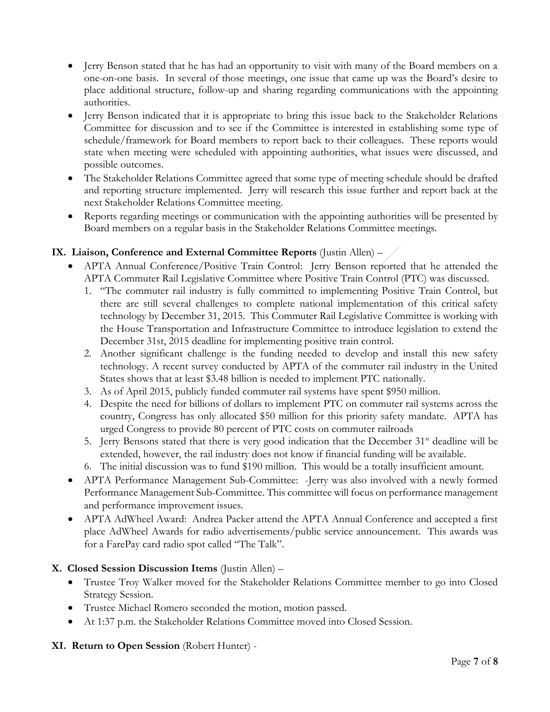- Jerry Benson stated that he has had an opportunity to visit with many of the Board members on a one-on-one basis. In several of those meetings, one issue that came up was the Board's desire to place additional structure, follow-up and sharing regarding communications with the appointing authorities.
- Jerry Benson indicated that it is appropriate to bring this issue back to the Stakeholder Relations Committee for discussion and to see if the Committee is interested in establishing some type of schedule/framework for Board members to report back to their colleagues. These reports would state when meeting were scheduled with appointing authorities, what issues were discussed, and possible outcomes.
- The Stakeholder Relations Committee agreed that some type of meeting schedule should be drafted and reporting structure implemented. Jerry will research this issue further and report back at the next Stakeholder Relations Committee meeting.
- Reports regarding meetings or communication with the appointing authorities will be presented by Board members on a regular basis in the Stakeholder Relations Committee meetings.

# **IX. Liaison, Conference and External Committee Reports** (Justin Allen) –

- APTA Annual Conference/Positive Train Control: Jerry Benson reported that he attended the APTA Commuter Rail Legislative Committee where Positive Train Control (PTC) was discussed.
	- 1. "The commuter rail industry is fully committed to implementing Positive Train Control, but there are still several challenges to complete national implementation of this critical safety technology by December 31, 2015. This Commuter Rail Legislative Committee is working with the House Transportation and Infrastructure Committee to introduce legislation to extend the December 31st, 2015 deadline for implementing positive train control.
	- 2. Another significant challenge is the funding needed to develop and install this new safety technology. A recent survey conducted by APTA of the commuter rail industry in the United States shows that at least \$3.48 billion is needed to implement PTC nationally.
	- 3. As of April 2015, publicly funded commuter rail systems have spent \$950 million.
	- 4. Despite the need for billions of dollars to implement PTC on commuter rail systems across the country, Congress has only allocated \$50 million for this priority safety mandate. APTA has urged Congress to provide 80 percent of PTC costs on commuter railroads
	- 5. Jerry Bensons stated that there is very good indication that the December  $31<sup>st</sup>$  deadline will be extended, however, the rail industry does not know if financial funding will be available.
	- 6. The initial discussion was to fund \$190 million. This would be a totally insufficient amount.
- APTA Performance Management Sub-Committee: -Jerry was also involved with a newly formed Performance Management Sub-Committee. This committee will focus on performance management and performance improvement issues.
- APTA AdWheel Award: Andrea Packer attend the APTA Annual Conference and accepted a first place AdWheel Awards for radio advertisements/public service announcement. This awards was for a FarePay card radio spot called "The Talk".

### **X. Closed Session Discussion Items** (Justin Allen) –

- Trustee Troy Walker moved for the Stakeholder Relations Committee member to go into Closed Strategy Session.
- Trustee Michael Romero seconded the motion, motion passed.
- At 1:37 p.m. the Stakeholder Relations Committee moved into Closed Session.

### **XI. Return to Open Session** (Robert Hunter) -